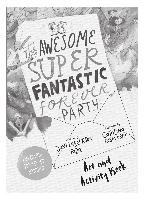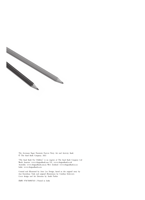

The Awesome Super Fantastic Forever Party Art and Activity Book © The Good Book Company, 2022

"The Good Book For Children" is an imprint of The Good Book Company Ltd North America: www.thegoodbook.com UK: www.thegoodbook.co.uk Australia: www.thegoodbook.com.au New Zealand: www.thegoodbook.co.nz India: www.thegoodbook.co.in

Created and illustrated by Jorie Lee Design, based on the original story by Joni Eareckson Tada and original illustrations by Catalina Echeverri. Cover design and Art Direction by André Parker

ISBN: 9781784987633 | Printed in India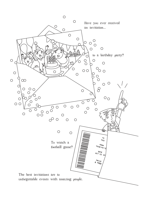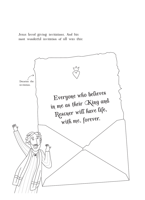Jesus loved giving invitations. And his most wonderful invitation of all was this:

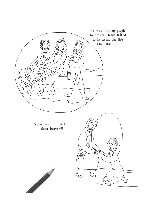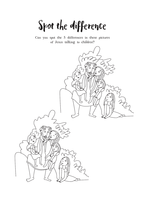Spot the difference

Can you spot the 5 differences in these pictures of Jesus talking to children?